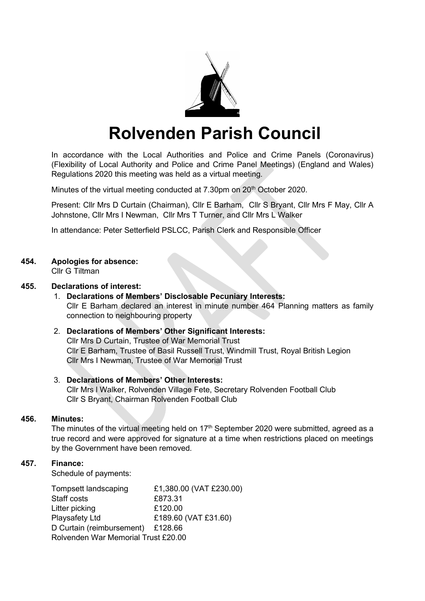

# **Rolvenden Parish Council**

In accordance with the Local Authorities and Police and Crime Panels (Coronavirus) (Flexibility of Local Authority and Police and Crime Panel Meetings) (England and Wales) Regulations 2020 this meeting was held as a virtual meeting.

Minutes of the virtual meeting conducted at 7.30pm on 20<sup>th</sup> October 2020.

Present: Cllr Mrs D Curtain (Chairman), Cllr E Barham, Cllr S Bryant, Cllr Mrs F May, Cllr A Johnstone, Cllr Mrs I Newman, Cllr Mrs T Turner, and Cllr Mrs L Walker

In attendance: Peter Setterfield PSLCC, Parish Clerk and Responsible Officer

# **454. Apologies for absence:**

Cllr G Tiltman

# **455. Declarations of interest:**

1. **Declarations of Members' Disclosable Pecuniary Interests:** Cllr E Barham declared an interest in minute number 464 Planning matters as family connection to neighbouring property

# 2. **Declarations of Members' Other Significant Interests:**

Cllr Mrs D Curtain, Trustee of War Memorial Trust Cllr E Barham, Trustee of Basil Russell Trust, Windmill Trust, Royal British Legion Cllr Mrs I Newman, Trustee of War Memorial Trust

# 3. **Declarations of Members' Other Interests:**

Cllr Mrs l Walker, Rolvenden Village Fete, Secretary Rolvenden Football Club Cllr S Bryant, Chairman Rolvenden Football Club

# **456. Minutes:**

The minutes of the virtual meeting held on  $17<sup>th</sup>$  September 2020 were submitted, agreed as a true record and were approved for signature at a time when restrictions placed on meetings by the Government have been removed.

# **457. Finance:**

Schedule of payments:

| Tompsett landscaping                | £1,380.00 (VAT £230.00) |
|-------------------------------------|-------------------------|
| Staff costs                         | £873.31                 |
| Litter picking                      | £120.00                 |
| Playsafety Ltd                      | £189.60 (VAT £31.60)    |
| D Curtain (reimbursement)           | £128.66                 |
| Rolvenden War Memorial Trust £20.00 |                         |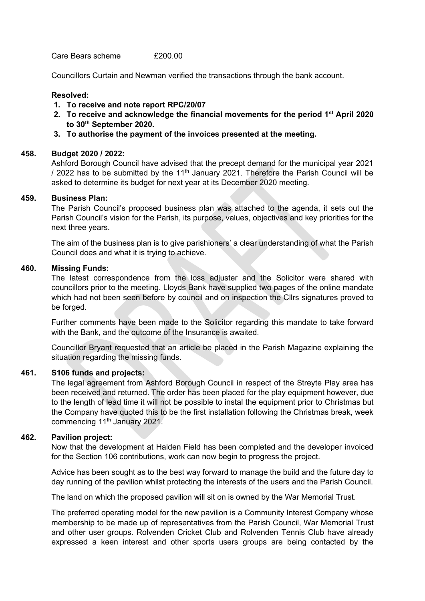Care Bears scheme  $£200.00$ 

Councillors Curtain and Newman verified the transactions through the bank account.

## **Resolved:**

- **1. To receive and note report RPC/20/07**
- **2. To receive and acknowledge the financial movements for the period 1st April 2020 to 30th September 2020.**
- **3. To authorise the payment of the invoices presented at the meeting.**

#### **458. Budget 2020 / 2022:**

Ashford Borough Council have advised that the precept demand for the municipal year 2021 / 2022 has to be submitted by the 11<sup>th</sup> January 2021. Therefore the Parish Council will be asked to determine its budget for next year at its December 2020 meeting.

#### **459. Business Plan:**

The Parish Council's proposed business plan was attached to the agenda, it sets out the Parish Council's vision for the Parish, its purpose, values, objectives and key priorities for the next three years.

The aim of the business plan is to give parishioners' a clear understanding of what the Parish Council does and what it is trying to achieve.

## **460. Missing Funds:**

The latest correspondence from the loss adjuster and the Solicitor were shared with councillors prior to the meeting. Lloyds Bank have supplied two pages of the online mandate which had not been seen before by council and on inspection the Cllrs signatures proved to be forged.

Further comments have been made to the Solicitor regarding this mandate to take forward with the Bank, and the outcome of the Insurance is awaited.

Councillor Bryant requested that an article be placed in the Parish Magazine explaining the situation regarding the missing funds.

# **461. S106 funds and projects:**

The legal agreement from Ashford Borough Council in respect of the Streyte Play area has been received and returned. The order has been placed for the play equipment however, due to the length of lead time it will not be possible to instal the equipment prior to Christmas but the Company have quoted this to be the first installation following the Christmas break, week commencing 11<sup>th</sup> January 2021.

#### **462. Pavilion project:**

Now that the development at Halden Field has been completed and the developer invoiced for the Section 106 contributions, work can now begin to progress the project.

Advice has been sought as to the best way forward to manage the build and the future day to day running of the pavilion whilst protecting the interests of the users and the Parish Council.

The land on which the proposed pavilion will sit on is owned by the War Memorial Trust.

The preferred operating model for the new pavilion is a Community Interest Company whose membership to be made up of representatives from the Parish Council, War Memorial Trust and other user groups. Rolvenden Cricket Club and Rolvenden Tennis Club have already expressed a keen interest and other sports users groups are being contacted by the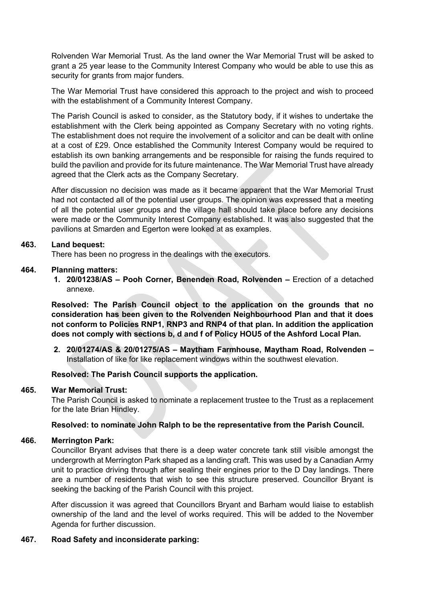Rolvenden War Memorial Trust. As the land owner the War Memorial Trust will be asked to grant a 25 year lease to the Community Interest Company who would be able to use this as security for grants from major funders.

The War Memorial Trust have considered this approach to the project and wish to proceed with the establishment of a Community Interest Company.

The Parish Council is asked to consider, as the Statutory body, if it wishes to undertake the establishment with the Clerk being appointed as Company Secretary with no voting rights. The establishment does not require the involvement of a solicitor and can be dealt with online at a cost of £29. Once established the Community Interest Company would be required to establish its own banking arrangements and be responsible for raising the funds required to build the pavilion and provide for its future maintenance. The War Memorial Trust have already agreed that the Clerk acts as the Company Secretary.

After discussion no decision was made as it became apparent that the War Memorial Trust had not contacted all of the potential user groups. The opinion was expressed that a meeting of all the potential user groups and the village hall should take place before any decisions were made or the Community Interest Company established. It was also suggested that the pavilions at Smarden and Egerton were looked at as examples.

## **463. Land bequest:**

There has been no progress in the dealings with the executors.

## **464. Planning matters:**

**1. 20/01238/AS – Pooh Corner, Benenden Road, Rolvenden –** Erection of a detached annexe.

**Resolved: The Parish Council object to the application on the grounds that no consideration has been given to the Rolvenden Neighbourhood Plan and that it does not conform to Policies RNP1, RNP3 and RNP4 of that plan. In addition the application does not comply with sections b, d and f of Policy HOU5 of the Ashford Local Plan.**

**2. 20/01274/AS & 20/01275/AS – Maytham Farmhouse, Maytham Road, Rolvenden –** Installation of like for like replacement windows within the southwest elevation.

**Resolved: The Parish Council supports the application.**

# **465. War Memorial Trust:**

The Parish Council is asked to nominate a replacement trustee to the Trust as a replacement for the late Brian Hindley.

# **Resolved: to nominate John Ralph to be the representative from the Parish Council.**

## **466. Merrington Park:**

Councillor Bryant advises that there is a deep water concrete tank still visible amongst the undergrowth at Merrington Park shaped as a landing craft. This was used by a Canadian Army unit to practice driving through after sealing their engines prior to the D Day landings. There are a number of residents that wish to see this structure preserved. Councillor Bryant is seeking the backing of the Parish Council with this project.

After discussion it was agreed that Councillors Bryant and Barham would liaise to establish ownership of the land and the level of works required. This will be added to the November Agenda for further discussion.

#### **467. Road Safety and inconsiderate parking:**